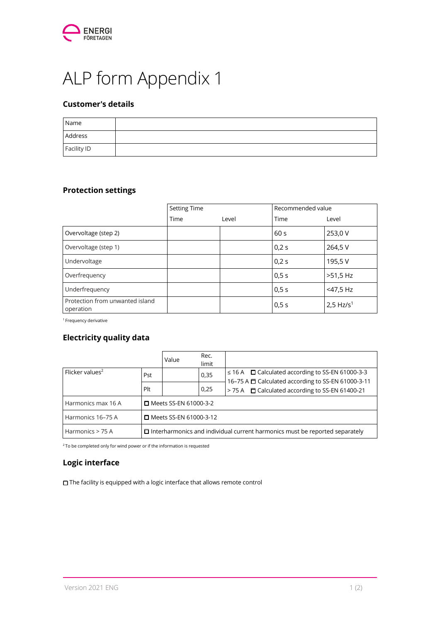

# ALP form Appendix 1

## Customer's details

| Name        |  |
|-------------|--|
| Address     |  |
| Facility ID |  |

## Protection settings

|                                              | <b>Setting Time</b> |       | Recommended value |                         |
|----------------------------------------------|---------------------|-------|-------------------|-------------------------|
|                                              | Time                | Level | Time              | Level                   |
| Overvoltage (step 2)                         |                     |       | 60 <sub>s</sub>   | 253,0 V                 |
| Overvoltage (step 1)                         |                     |       | 0,2 s             | 264,5 V                 |
| Undervoltage                                 |                     |       | 0,2 s             | 195,5V                  |
| Overfrequency                                |                     |       | 0,5s              | >51,5 Hz                |
| Underfrequency                               |                     |       | 0,5s              | <47,5 Hz                |
| Protection from unwanted island<br>operation |                     |       | 0,5s              | $2,5$ Hz/s <sup>1</sup> |

<sup>1</sup> Frequency derivative

### Electricity quality data

|                             |                                                                                    | Value | Rec.<br>limit |                                                                                                                       |  |  |
|-----------------------------|------------------------------------------------------------------------------------|-------|---------------|-----------------------------------------------------------------------------------------------------------------------|--|--|
| Flicker values <sup>2</sup> | Pst                                                                                |       | 0,35          | $\leq$ 16 A $\Box$ Calculated according to SS-EN 61000-3-3<br>16-75 A $\Box$ Calculated according to SS-EN 61000-3-11 |  |  |
|                             | Plt                                                                                |       | 0,25          | > 75 A <b>Calculated according to SS-EN 61400-21</b>                                                                  |  |  |
| Harmonics max 16 A          | □ Meets SS-EN 61000-3-2                                                            |       |               |                                                                                                                       |  |  |
| Harmonics 16-75 A           | □ Meets SS-EN 61000-3-12                                                           |       |               |                                                                                                                       |  |  |
| Harmonics > 75 A            | $\Box$ Interharmonics and individual current harmonics must be reported separately |       |               |                                                                                                                       |  |  |

 $2$ To be completed only for wind power or if the information is requested

### Logic interface

☐ The facility is equipped with a logic interface that allows remote control